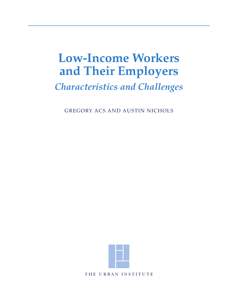# **Low-Income Workers and Their Employers**

# *Characteristics and Challenges*

GREGORY ACS AND AUSTIN NICHOLS



THE URBAN INSTITUTE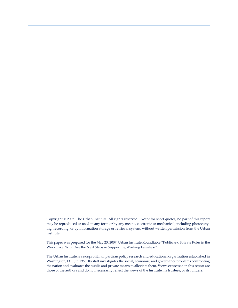Copyright © 2007. The Urban Institute. All rights reserved. Except for short quotes, no part of this report may be reproduced or used in any form or by any means, electronic or mechanical, including photocopying, recording, or by information storage or retrieval system, without written permission from the Urban Institute.

This paper was prepared for the May 23, 2007, Urban Institute Roundtable "Public and Private Roles in the Workplace: What Are the Next Steps in Supporting Working Families?"

The Urban Institute is a nonprofit, nonpartisan policy research and educational organization established in Washington, D.C., in 1968. Its staff investigates the social, economic, and governance problems confronting the nation and evaluates the public and private means to alleviate them. Views expressed in this report are those of the authors and do not necessarily reflect the views of the Institute, its trustees, or its funders.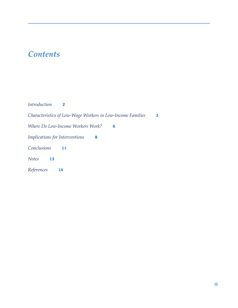# *Contents*

| <i>Introduction</i>            |                                                            |   |
|--------------------------------|------------------------------------------------------------|---|
|                                | Characteristics of Low-Wage Workers in Low-Income Families | 3 |
|                                | Where Do Low-Income Workers Work?<br>6                     |   |
| Implications for Interventions | 8                                                          |   |
| Conclusions                    | 11                                                         |   |
| <b>Notes</b><br>13             |                                                            |   |
| References                     | 14                                                         |   |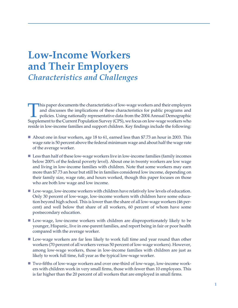# **Low-Income Workers and Their Employers** *Characteristics and Challenges*

This paper documents the characteristics of low-wage workers and their employers and discusses the implications of these characteristics for public programs and policies. Using nationally representative data from the 2004 Annual Demographic Supplement to the Current Population Survey (CPS), we focus on low-wage workers who reside in low-income families and support children. Key findings include the following:

- **n** About one in four workers, age 18 to 61, earned less than \$7.73 an hour in 2003. This wage rate is 50 percent above the federal minimum wage and about half the wage rate of the average worker.
- **n** Less than half of these low-wage workers live in low-income families (family incomes below 200% of the federal poverty level). About one in twenty workers are low wage and living in low-income families with children. Note that some workers may earn more than \$7.73 an hour but still be in families considered low income, depending on their family size, wage rate, and hours worked, though this paper focuses on those who are both low wage and low income.
- **n** Low-wage, low-income workers with children have relatively low levels of education. Only 30 percent of low-wage, low-income workers with children have some education beyond high school. This is lower than the share of all low-wage workers (46 percent) and well below that share of all workers, 60 percent of whom have some postsecondary education.
- **n** Low-wage, low-income workers with children are disproportionately likely to be younger, Hispanic, live in one-parent families, and report being in fair or poor health compared with the average worker.
- Low-wage workers are far less likely to work full time and year round than other workers (70 percent of all workers versus 50 percent of low-wage workers). However, among low-wage workers, those in low-income families with children are just as likely to work full time, full year as the typical low-wage worker.
- **n** Two-fifths of low-wage workers and over one-third of low-wage, low-income workers with children work in very small firms, those with fewer than 10 employees. This is far higher than the 20 percent of all workers that are employed in small firms.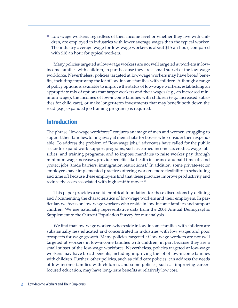**n** Low-wage workers, regardless of their income level or whether they live with children, are employed in industries with lower average wages than the typical worker. The industry average wage for low-wage workers is about \$15 an hour, compared with \$18 an hour for typical workers.

Many policies targeted at low-wage workers are not well targeted at workers in lowincome families with children, in part because they are a small subset of the low-wage workforce. Nevertheless, policies targeted at low-wage workers may have broad benefits, including improving the lot of low-income families with children. Although a range of policy options is available to improve the status of low-wage workers, establishing an appropriate mix of options that target workers and their wages (e.g., an increased minimum wage), the incomes of low-income families with children (e.g., increased subsidies for child care), or make longer-term investments that may benefit both down the road (e.g., expanded job training programs) is required.

### **Introduction**

The phrase "low-wage workforce" conjures an image of men and women struggling to support their families, toiling away at menial jobs for bosses who consider them expendable. To address the problem of "low-wage jobs," advocates have called for the public sector to expand work-support programs, such as earned income tax credits, wage subsidies, and training programs, and to impose mandates to raise worker pay through minimum wage increases, provide benefits like health insurance and paid time off, and protect jobs (trade barriers, immigration restrictions).1 In addition, some private-sector employers have implemented practices offering workers more flexibility in scheduling and time off because these employers find that these practices improve productivity and reduce the costs associated with high staff turnover.<sup>2</sup>

This paper provides a solid empirical foundation for these discussions by defining and documenting the characteristics of low-wage workers and their employers. In particular, we focus on low-wage workers who reside in low-income families and support children. We use nationally representative data from the 2004 Annual Demographic Supplement to the Current Population Survey for our analysis.

We find that low-wage workers who reside in low-income families with children are substantially less educated and concentrated in industries with low wages and poor prospects for wage growth. Many policies targeted at low-wage workers are not well targeted at workers in low-income families with children, in part because they are a small subset of the low-wage workforce. Nevertheless, policies targeted at low-wage workers may have broad benefits, including improving the lot of low-income families with children. Further, other policies, such as child care policies, can address the needs of low-income families with children, and some policies, such as improving careerfocused education, may have long-term benefits at relatively low cost.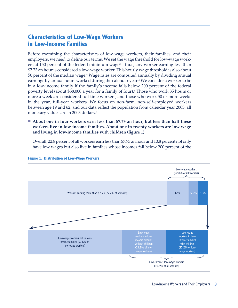# **Characteristics of Low-Wage Workers in Low-Income Families**

Before examining the characteristics of low-wage workers, their families, and their employers, we need to define our terms. We set the wage threshold for low-wage workers at 150 percent of the federal minimum wage<sup>3</sup>—thus, any worker earning less than \$7.73 an hour is considered a low-wage worker. This hourly wage threshold is also about 50 percent of the median wage.4 Wage rates are computed annually by dividing annual earnings by annual hours worked during the calendar year.5 We consider a worker to be in a low-income family if the family's income falls below 200 percent of the federal poverty level (about \$38,000 a year for a family of four).6 Those who work 35 hours or more a week are considered full-time workers, and those who work 50 or more weeks in the year, full-year workers. We focus on non-farm, non-self-employed workers between age 19 and 62, and our data reflect the population from calendar year 2003; all monetary values are in 2003 dollars.7

#### **n About one in four workers earn less than \$7.73 an hour, but less than half these workers live in low-income families. About one in twenty workers are low wage and living in low-income families with children (figure 1).**

Overall, 22.8 percent of all workers earn less than \$7.73 an hour and 10.8 percent not only have low wages but also live in families whose incomes fall below 200 percent of the



#### **Figure 1. Distribution of Low-Wage Workers**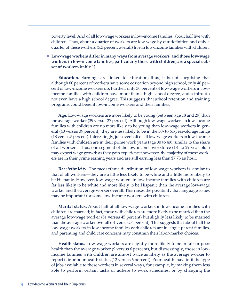poverty level. And of all low-wage workers in low-income families, about half live with children. Thus, about a quarter of workers are low wage by our definition and only a quarter of these workers (5.3 percent overall) live in low-income families with children.

**n Low-wage workers differ in many ways from average workers, and those low-wage workers in low-income families, particularly those with children, are a special subset of workers (table 1).**

**Education.** Earnings are linked to education; thus, it is not surprising that although 60 percent of workers have some education beyond high school, only 46 percent of low-income workers do. Further, only 30 percent of low-wage workers in lowincome families with children have more than a high school degree, and a third do not even have a high school degree. This suggests that school retention and training programs could benefit low-income workers and their families.

**Age.** Low-wage workers are more likely to be young (between age 18 and 29) than the average worker (39 versus 27 percent). Although low-wage workers in low-income families with children are no more likely to be young than low-wage workers in general (40 versus 39 percent), they are less likely to be in the 50- to 61-year-old age range (18 versus 5 percent). Interestingly, just over half of all low-wage workers in low-income families with children are in their prime work years (age 30 to 49), similar to the share of all workers. Thus, one segment of the low-income workforce (18- to 29-year-olds) may expect wage growth as they gain experience; however, the majority of these workers are in their prime earning years and are still earning less than \$7.73 an hour.

**Race/ethnicity.** The race/ethnic distribution of low-wage workers is similar to that of all workers—they are a little less likely to be white and a little more likely to be Hispanic. However, low-wage workers in low-income families with children are far less likely to be white and more likely to be Hispanic than the average low-wage worker and the average worker overall. This raises the possibility that language issues may be important for some low-income workers with children.

**Marital status.** About half of all low-wage workers in low-income families with children are married; in fact, those with children are more likely to be married than the average low-wage worker (51 versus 45 percent) but slightly less likely to be married than the average worker overall (51 versus 56 percent). This suggests that about half the low-wage workers in low-income families with children are in single-parent families, and parenting and child care concerns may constrain their labor-market choices.

**Health status.** Low-wage workers are slightly more likely to be in fair or poor health than the average worker (9 versus 6 percent), but distressingly, those in lowincome families with children are almost twice as likely as the average worker to report fair or poor health status (12 versus 6 percent). Poor health may limit the type of jobs available to these workers in several ways, for example, by making them less able to perform certain tasks or adhere to work schedules, or by changing the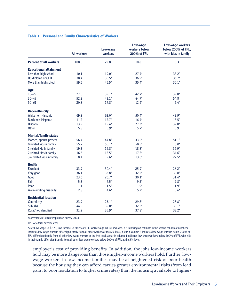#### **Table 1. Personal and Family Characteristics of Workers**

|                               | <b>All workers</b> | Low-wage<br>workers | Low-wage<br>workers below<br>200% of FPL | Low-wage workers<br>below 200% of FPL,<br>with kids in family |
|-------------------------------|--------------------|---------------------|------------------------------------------|---------------------------------------------------------------|
| <b>Percent of all workers</b> | 100.0              | 22.8                | 10.8                                     | 5.3                                                           |
| <b>Educational attainment</b> |                    |                     |                                          |                                                               |
| Less than high school         | 10.1               | $19.0*$             | $27.7*$                                  | $33.2*$                                                       |
| HS diploma or GED             | 30.4               | $35.5*$             | $36.9*$                                  | $36.7*$                                                       |
| More than high school         | 59.5               | $45.5*$             | $35.4*$                                  | $30.1*$                                                       |
| Age                           |                    |                     |                                          |                                                               |
| $18 - 29$                     | 27.0               | $39.1*$             | $42.7*$                                  | $39.8*$                                                       |
| $30 - 49$                     | 52.2               | $43.1*$             | $44.7*$                                  | 54.8                                                          |
| $50 - 61$                     | 20.8               | $17.8*$             | $12.6*$                                  | $5.4*$                                                        |
| <b>Race/ethnicity</b>         |                    |                     |                                          |                                                               |
| White non-Hispanic            | 69.8               | $62.0*$             | $50.4*$                                  | 42.9*                                                         |
| <b>Black non-Hispanic</b>     | 11.2               | $12.7*$             | $16.7*$                                  | $18.5*$                                                       |
| Hispanic                      | 13.2               | $19.4*$             | $27.2*$                                  | $32.8*$                                                       |
| <b>Other</b>                  | 5.8                | $5.9*$              | $5.7*$                                   | 5.9                                                           |
| <b>Marital/family status</b>  |                    |                     |                                          |                                                               |
| Married, spouse present       | 56.4               | $44.8*$             | $33.0*$                                  | $51.1*$                                                       |
| 0 related kids in family      | 55.7               | $55.1*$             | $50.5*$                                  | $0.0*$                                                        |
| 1 related kid in family       | 19.3               | $19.8*$             | $18.8*$                                  | 37.9*                                                         |
| 2 related kids in family      | 16.6               | $15.5*$             | $17.2*$                                  | $34.6*$                                                       |
| 3+ related kids in family     | 8.4                | $9.6*$              | $13.6*$                                  | $27.5*$                                                       |
| <b>Health</b>                 |                    |                     |                                          |                                                               |
| <b>Excellent</b>              | 33.9               | $30.4*$             | $25.9*$                                  | $26.2*$                                                       |
| Very good                     | 36.1               | $33.8*$             | $32.5*$                                  | $30.8*$                                                       |
| Good                          | 23.6               | $26.7*$             | $30.1*$                                  | $31.4*$                                                       |
| Fair                          | 5.3                | $7.5*$              | $9.5*$                                   | $9.8*$                                                        |
| Poor                          | 1.1                | $1.5*$              | $1.9*$                                   | $1.9*$                                                        |
| Work-limiting disability      | 2.8                | $4.6*$              | $5.2*$                                   | $3.6*$                                                        |
| <b>Residential location</b>   |                    |                     |                                          |                                                               |
| Central city                  | 23.9               | $25.1*$             | $29.8*$                                  | $28.8*$                                                       |
| <b>Suburbs</b>                | 44.9               | $39.0*$             | $32.5*$                                  | $33.1*$                                                       |
| Rural/not identified          | 31.2               | $35.9*$             | $37.8*$                                  | $38.2*$                                                       |

*Source:*March Current Population Survey 2004.

FPL = federal poverty level

*Notes:* Low-wage: < \$7.73; low-income: < 200% of FPL; workers age 18–61 included. A \* following an estimate in the second column of numbers indicates low-wage workers differ significantly from all other workers at the 5% level, a star in column 3 indicates low-wage workers below 200% of FPL differ significantly from all other low-wage workers at the 5% level, a star in column 4 indicates low-wage workers below 200% of FPL with kids in their family differ significantly from all other low-wage workers below 200% of FPL at the 5% level.

employer's cost of providing benefits. In addition, the jobs low-income workers hold may be more dangerous than those higher-income workers hold. Further, lowwage workers in low-income families may be at heightened risk of poor health because the housing they can afford carries greater environmental risks (from lead paint to poor insulation to higher crime rates) than the housing available to higher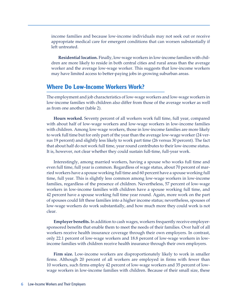income families and because low-income individuals may not seek out or receive appropriate medical care for emergent conditions that can worsen substantially if left untreated.

**Residential location.** Finally, low-wage workers in low-income families with children are more likely to reside in both central cities and rural areas than the average worker and the average low-wage worker. This suggests that low-income workers may have limited access to better-paying jobs in growing suburban areas.

### **Where Do Low-Income Workers Work?**

The employment and job characteristics of low-wage workers and low-wage workers in low-income families with children also differ from those of the average worker as well as from one another (table 2).

**Hours worked.** Seventy percent of all workers work full time, full year, compared with about half of low-wage workers and low-wage workers in low-income families with children. Among low-wage workers, those in low-income families are more likely to work full time but for only part of the year than the average low-wage worker (24 versus 19 percent) and slightly less likely to work part time (26 versus 30 percent). The fact that about half do not work full time, year round contributes to their low-income status. It is, however, not clear whether they could sustain full-time, full-year work.

Interestingly, among married workers, having a spouse who works full time and even full time, full year is common. Regardless of wage status, about 70 percent of married workers have a spouse working full time and 60 percent have a spouse working full time, full year. This is slightly less common among low-wage workers in low-income families, regardless of the presence of children. Nevertheless, 57 percent of low-wage workers in low-income families with children have a spouse working full time, and 42 percent have a spouse working full time year round. Again, more work on the part of spouses could lift these families into a higher income status; nevertheless, spouses of low-wage workers do work substantially, and how much more they could work is not clear.

**Employer benefits.** In addition to cash wages, workers frequently receive employersponsored benefits that enable them to meet the needs of their families. Over half of all workers receive health insurance coverage through their own employers. In contrast, only 22.1 percent of low-wage workers and 18.8 percent of low-wage workers in lowincome families with children receive health insurance through their own employers.

**Firm size.** Low-income workers are disproportionately likely to work in smaller firms. Although 20 percent of all workers are employed in firms with fewer than 10 workers, such firms employ 42 percent of low-wage workers and 35 percent of lowwage workers in low-income families with children. Because of their small size, these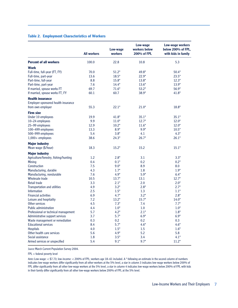#### **Table 2. Employment Characteristics of Workers**

|                                       | <b>All workers</b> | Low-wage<br>workers | Low-wage<br>workers below<br>200% of FPL | Low-wage workers<br>below 200% of FPL,<br>with kids in family |
|---------------------------------------|--------------------|---------------------|------------------------------------------|---------------------------------------------------------------|
| <b>Percent of all workers</b>         | 100.0              | 22.8                | 10.8                                     | 5.3                                                           |
| Work                                  |                    |                     |                                          |                                                               |
| Full-time, full-year (FT, FY)         | 70.0               | $51.2*$             | $49.8*$                                  | $50.4*$                                                       |
| Full-time, part-year                  | 13.6               | $18.5*$             | $22.9*$                                  | $23.5*$                                                       |
| Part-time, full-year                  | 8.8                | $15.8*$             | $13.8*$                                  | $12.3*$                                                       |
| Part-time, part-year                  | 7.6                | $14.4*$             | $13.6*$                                  | $13.9*$                                                       |
| If married, spouse works FT           | 69.7               | $71.6*$             | $53.2*$                                  | $56.9*$                                                       |
| If married, spouse works FT, FY       | 60.1               | 60.7                | $38.9*$                                  | $41.8*$                                                       |
| <b>Health insurance</b>               |                    |                     |                                          |                                                               |
| Employer-sponsored health insurance   |                    |                     |                                          |                                                               |
| from own employer                     | 55.3               | $22.1*$             | $21.0*$                                  | $18.8*$                                                       |
| <b>Firm size</b>                      |                    |                     |                                          |                                                               |
| Under 10 employees                    | 19.9               | $41.8*$             | $35.1*$                                  | $35.1*$                                                       |
| 10-24 employees                       | 9.9                | $11.0*$             | $12.7*$                                  | $12.0*$                                                       |
| 25-99 employees                       | 12.9               | $10.2*$             | $11.6*$                                  | $12.0*$                                                       |
| 100-499 employees                     | 13.3               | $8.9*$              | $9.9*$                                   | $10.5*$                                                       |
| 500-999 employees                     | 5.4                | $3.8*$              | 4.1                                      | $4.3*$                                                        |
| 1,000+ employees                      | 38.6               | $24.3*$             | $26.7*$                                  | $26.1*$                                                       |
| <b>Major industry</b>                 |                    |                     |                                          |                                                               |
| Mean wage (\$/hour)                   | 18.3               | $15.2*$             | 15.2                                     | $15.1*$                                                       |
| <b>Major industry</b>                 |                    |                     |                                          |                                                               |
| Agriculture/forestry, fishing/hunting | 1.2                | $2.8*$              | 3.1                                      | $3.3*$                                                        |
| <b>Mining</b>                         | 0.4                | $0.1*$              | 0.2                                      | $0.2*$                                                        |
| Construction                          | 7.5                | $9.0*$              | 8.9                                      | 8.0                                                           |
| Manufacturing, durable                | 4.3                | $1.7*$              | 1.8                                      | $1.9*$                                                        |
| Manufacturing, nondurable             | 7.6                | $4.9*$              | $5.9*$                                   | $6.4*$                                                        |
| Wholesale trade                       | 10.5               | $13.7*$             | 13.1                                     | $12.7*$                                                       |
| <b>Retail trade</b>                   | 3.3                | $2.1*$              | 2.0                                      | $2.0*$                                                        |
| <b>Transportation and utilities</b>   | 4.9                | $3.2*$              | $2.8*$                                   | $2.7*$                                                        |
| <b>Information</b>                    | 2.5                | $1.5*$              | 1.3                                      | $1.1*$                                                        |
| <b>Financial activities</b>           | 6.9                | $4.7*$              | $3.2*$                                   | $2.8*$                                                        |
| Leisure and hospitality               | 7.2                | $13.2*$             | $15.7*$                                  | $14.0*$                                                       |
| Other services                        | 4.5                | $7.3*$              | 7.4                                      | $7.7*$                                                        |
| <b>Public administration</b>          | 4.4                | $1.0*$              | 1.0                                      | $1.0^{\star}$                                                 |
| Professional or technical management  | 5.7                | $4.2*$              | $2.1*$                                   | $1.8*$                                                        |
| Administrative support services       | 3.7                | $5.7*$              | $6.9*$                                   | $6.9*$                                                        |
| Waste management or remediation       | 0.3                | 0.2                 | 0.2                                      | 0.3                                                           |
| <b>Educational services</b>           | 8.4                | $5.7*$              | $4.6*$                                   | $4.6*$                                                        |
| <b>Hospitals</b>                      | 4.0                | $1.5^*$             | 1.5                                      | $1.6*$                                                        |
| Other health care services            | 5.6                | $4.9*$              | 5.2                                      | 5.8                                                           |
| Social assistance                     | 1.8                | $3.5*$              | 3.4                                      | $4.1*$                                                        |
| Armed services or unspecified         | 5.4                | $9.1*$              | $9.7*$                                   | $11.2*$                                                       |

*Source:* March Current Population Survey 2004.

#### FPL = federal poverty level

*Notes:* Low-wage: < \$7.73; low-income: < 200% of FPL; workers age 18–61 included. A \* following an estimate in the second column of numbers indicates low-wage workers differ significantly from all other workers at the 5% level, a star in column 3 indicates low-wage workers below 200% of FPL differ significantly from all other low-wage workers at the 5% level, a star in column 4 indicates low-wage workers below 200% of FPL with kids in their family differ significantly from all other low-wage workers below 200% of FPL at the 5% level.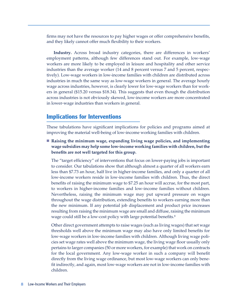firms may not have the resources to pay higher wages or offer comprehensive benefits, and they likely cannot offer much flexibility to their workers.

**Industry.** Across broad industry categories, there are differences in workers' employment patterns, although few differences stand out. For example, low-wage workers are more likely to be employed in leisure and hospitality and other service industries than the average worker (14 and 8 percent versus 7 and 5 percent, respectively). Low-wage workers in low-income families with children are distributed across industries in much the same way as low-wage workers in general. The average hourly wage across industries, however, is clearly lower for low-wage workers than for workers in general (\$15.20 versus \$18.34). This suggests that even though the distribution across industries is not obviously skewed, low-income workers are more concentrated in lower-wage industries than workers in general.

## **Implications for Interventions**

These tabulations have significant implications for policies and programs aimed at improving the material well-being of low-income working families with children.

**n Raising the minimum wage, expanding living wage policies, and implementing wage subsidies may help some low-income working families with children, but the benefits are not well targeted for this group.**

The "target efficiency" of interventions that focus on lower-paying jobs is important to consider. Our tabulations show that although almost a quarter of all workers earn less than \$7.73 an hour, half live in higher-income families, and only a quarter of all low-income workers reside in low-income families with children. Thus, the direct benefits of raising the minimum wage to \$7.25 an hour will accrue, for the most part, to workers in higher-income families and low-income families without children. Nevertheless, raising the minimum wage may put upward pressure on wages throughout the wage distribution, extending benefits to workers earning more than the new minimum. If any potential job displacement and product price increases resulting from raising the minimum wage are small and diffuse, raising the minimum wage could still be a low-cost policy with large potential benefits.<sup>8</sup>

Other direct government attempts to raise wages (such as living wages) that set wage thresholds well above the minimum wage may also have only limited benefits for low-wage workers in low-income families with children. Although living wage policies set wage rates well above the minimum wage, the living wage floor usually only pertains to larger companies (50 or more workers, for example) that work on contracts for the local government. Any low-wage worker in such a company will benefit directly from the living wage ordinance, but most low-wage workers can only benefit indirectly, and again, most low-wage workers are not in low-income families with children.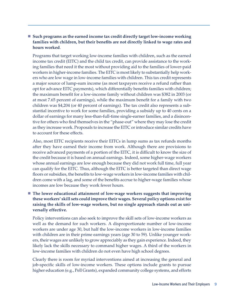### **n Such programs as the earned income tax credit directly target low-income working families with children, but their benefits are not directly linked to wage rates and hours worked**.

Programs that target working low-income families with children, such as the earned income tax credit (EITC) and the child tax credit, can provide assistance to the working families that need it the most without providing aid to the families of lower-paid workers in higher-income families. The EITC is most likely to substantially help workers who are low wage in low-income families with children. This tax credit represents a major source of lump-sum income (as most taxpayers receive a refund rather than opt for advance EITC payments), which differentially benefits families with children; the maximum benefit for a low-income family without children was \$382 in 2003 (or at most 7.65 percent of earnings), while the maximum benefit for a family with two children was \$4,204 (or 40 percent of earnings). The tax credit also represents a substantial incentive to work for some families, providing a subsidy up to 40 cents on a dollar of earnings for many less-than-full-time single-earner families, and a disincentive for others who find themselves in the "phase-out" where they may lose the credit as they increase work. Proposals to increase the EITC or introduce similar credits have to account for these effects.

Also, most EITC recipients receive their EITCs in lump sums as tax refunds months after they have earned their income from work. Although there are provisions to receive advanced payments of a portion of the EITC, it is difficult to know the size of the credit because it is based on annual earnings. Indeed, some higher-wage workers whose annual earnings are low enough because they did not work full time, full year can qualify for the EITC. Thus, although the EITC is better targeted than direct wage floors or subsidies, the benefits to low-wage workers in low-income families with children come with a lag, and some of the benefits accrue to higher-wage families whose incomes are low because they work fewer hours.

**n The lower educational attainment of low-wage workers suggests that improving these workers' skill sets could improve their wages. Several policy options exist for raising the skills of low-wage workers, but no single approach stands out as universally effective.**

Policy interventions can also seek to improve the skill sets of low-income workers as well as the demand for such workers. A disproportionate number of low-income workers are under age 30, but half the low-income workers in low-income families with children are in their prime earnings years (age 30 to 59). Unlike younger workers, their wages are unlikely to grow appreciably as they gain experience. Indeed, they likely lack the skills necessary to command higher wages. A third of the workers in low-income families with children do not even have high school degrees.

Clearly there is room for myriad interventions aimed at increasing the general and job-specific skills of low-income workers. These options include grants to pursue higher education (e.g., Pell Grants), expanded community college systems, and efforts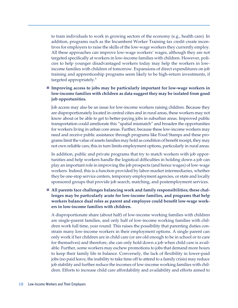to train individuals to work in growing sectors of the economy (e.g., health care). In addition, programs such as the Incumbent Worker Training tax credit create incentives for employers to raise the skills of the low-wage workers they currently employ. All these approaches can improve low-wage workers' wages, although they are not targeted specifically at workers in low-income families with children. However, policies to help younger disadvantaged workers today may help the workers in lowincome families with children of tomorrow. Expansions of direct expenditures on job training and apprenticeship programs seem likely to be high-return investments, if targeted appropriately.9

### ■ **Improving access to jobs may be particularly important for low-wage workers in low-income families with children as data suggest they may be isolated from good job opportunities.**

Job access may also be an issue for low-income workers raising children. Because they are disproportionately located in central cities and in rural areas, these workers may not know about or be able to get to better-paying jobs in suburban areas. Improved public transportation could ameliorate this "spatial mismatch" and broaden the opportunities for workers living in urban core areas. Further, because these low-income workers may need and receive public assistance through programs like Food Stamps and these programs limit the value of assets families may hold as condition of benefitreceipt, they may not own reliable cars; this in turn limits employment options, particularly in rural areas.

In addition, public and private programs that try to match workers with job opportunities and help workers handle the logistical difficulties in holding down a job can play an important role in improving the job prospects (and hence wages) of low-wage workers. Indeed, this is a function provided by labor-market intermediaries, whether they be one-stop service centers, temporary employment agencies, or state and locally sponsored groups that provide job search, matching, and postemployment services.

■ All parents face challenges balancing work and family responsibilities; these chal**lenges may be particularly acute for low-income families, and programs that help workers balance dual roles as parent and employee could benefit low-wage workers in low-income families with children.**

A disproportionate share (about half) of low-income working families with children are single-parent families, and only half of low-income working families with children work full time, year round. This raises the possibility that parenting duties constrain many low-income workers in their employment options. A single parent can only work if her children are in child care (or are old enough to be in school or to care for themselves) and therefore, she can only hold down a job when child care is available. Further, some workers may eschew promotions to jobs that demand more hours to keep their family life in balance. Conversely, the lack of flexibility in lower-paid jobs (no paid leave, the inability to take time off to attend to a family crisis) may reduce job stability and further reduce the incomes of low-income working families with children. Efforts to increase child care affordability and availability and efforts aimed to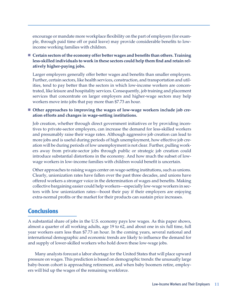encourage or mandate more workplace flexibility on the part of employers (for example, through paid time off or paid leave) may provide considerable benefits to lowincome working families with children.

**n Certain sectors of the economy offer better wages and benefits than others. Training less-skilled individuals to work in these sectors could help them find and retain relatively higher-paying jobs.**

Larger employers generally offer better wages and benefits than smaller employers. Further, certain sectors, like health services, construction, and transportation and utilities, tend to pay better than the sectors in which low-income workers are concentrated, like leisure and hospitality services. Consequently, job training and placement services that concentrate on larger employers and higher-wage sectors may help workers move into jobs that pay more than \$7.73 an hour.

#### ■ Other approaches to improving the wages of low-wage workers include job cre**ation efforts and changes in wage-setting institutions.**

Job creation, whether through direct government initiatives or by providing incentives to private-sector employers, can increase the demand for less-skilled workers and presumably raise their wage rates. Although aggressive job creation can lead to more jobs and is useful during periods of high unemployment, how effective job creation will be during periods of low unemployment is not clear. Further, pulling workers away from private-sector jobs through public or strategic job creation could introduce substantial distortions in the economy. And how much the subset of lowwage workers in low-income families with children would benefit is uncertain.

Other approaches to raising wages center on wage-setting institutions, such as unions. Clearly, unionization rates have fallen over the past three decades, and unions have offered workers a stronger voice in the determination of wages and benefits. Making collective bargaining easier could help workers—especially low-wage workers in sectors with low unionization rates—boost their pay if their employers are enjoying extra-normal profits or the market for their products can sustain price increases.

## **Conclusions**

A substantial share of jobs in the U.S. economy pays low wages. As this paper shows, almost a quarter of all working adults, age 19 to 62, and about one in six full time, full year workers earn less than \$7.73 an hour. In the coming years, several national and international demographic and economic trends are likely to influence the demand for and supply of lower-skilled workers who hold down these low-wage jobs.

Many analysts forecast a labor shortage for the United States that will place upward pressure on wages. This prediction is based on demographic trends: the unusually large baby-boom cohort is approaching retirement, and when baby boomers retire, employers will bid up the wages of the remaining workforce.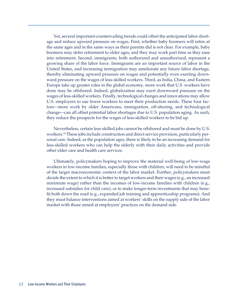Yet, several important countervailing trends could offset the anticipated labor shortage and reduce upward pressure on wages. First, whether baby boomers will retire at the same ages and in the same ways as their parents did is not clear. For example, baby boomers may defer retirement to older ages, and they may work part time as they ease into retirement. Second, immigrants, both authorized and unauthorized, represent a growing share of the labor force. Immigrants are an important source of labor in the United States, and increasing immigration may ameliorate any future labor shortage, thereby eliminating upward pressure on wages and potentially even exerting downward pressure on the wages of less-skilled workers. Third, as India, China, and Eastern Europe take up greater roles in the global economy, more work that U.S. workers have done may be offshored. Indeed, globalization may exert downward pressure on the wages of less-skilled workers. Finally, technological changes and innovations may allow U.S. employers to use fewer workers to meet their production needs. These four factors—more work by older Americans, immigration, off-shoring, and technological change—can all offset potential labor shortages due to U.S. population aging. As such, they reduce the prospects for the wages of less-skilled workers to be bid up.

Nevertheless, certain less-skilled jobs cannot be offshored and must be done by U.S. workers.10 These jobs include construction and direct service provision, particularly personal care. Indeed, as the population ages, there is likely to be an increasing demand for less-skilled workers who can help the elderly with their daily activities and provide other elder care and health care services.

Ultimately, policymakers hoping to improve the material well-being of low-wage workers in low-income families, especially those with children, will need to be mindful of the larger macroeconomic context of the labor market. Further, policymakers must decide the extent to which it is better to target workers and their wages (e.g., an increased minimum wage) rather than the incomes of low-income families with children (e.g., increased subsidies for child care), or to make longer-term investments that may benefit both down the road (e.g., expanded job training and apprenticeship programs). And they must balance interventions aimed at workers' skills on the supply side of the labor market with those aimed at employers' practices on the demand side.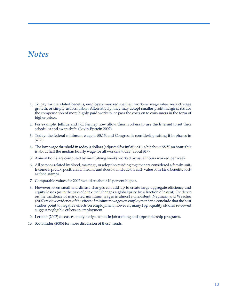# *Notes*

- 1. To pay for mandated benefits, employers may reduce their workers' wage rates, restrict wage growth, or simply use less labor. Alternatively, they may accept smaller profit margins, reduce the compensation of more highly paid workers, or pass the costs on to consumers in the form of higher prices.
- 2. For example, JetBlue and J.C. Penney now allow their workers to use the Internet to set their schedules and swap shifts (Levin-Epstein 2007).
- 3. Today, the federal minimum wage is \$5.15, and Congress is considering raising it in phases to \$7.25.
- 4. The low-wage threshold in today's dollars (adjusted for inflation) is a bit above \$8.50 an hour; this is about half the median hourly wage for all workers today (about \$17).
- 5. Annual hours are computed by multiplying weeks worked by usual hours worked per week.
- 6. All persons related by blood, marriage, or adoption residing together are considered a family unit. Income is pretax, posttransfer income and does not include the cash value of in-kind benefits such as food stamps.
- 7. Comparable values for 2007 would be about 10 percent higher.
- 8. However, even small and diffuse changes can add up to create large aggregate efficiency and equity losses (as in the case of a tax that changes a global price by a fraction of a cent). Evidence on the incidence of mandated minimum wages is almost nonexistent. Neumark and Wascher (2007) review evidence of the effect of minimum wages on employment and conclude that the best studies point to negative effects on employment; however, many high-quality studies reviewed suggest negligible effects on employment.
- 9. Lerman (2007) discusses many design issues in job training and apprenticeship programs.
- 10. See Blinder (2005) for more discussion of these trends.